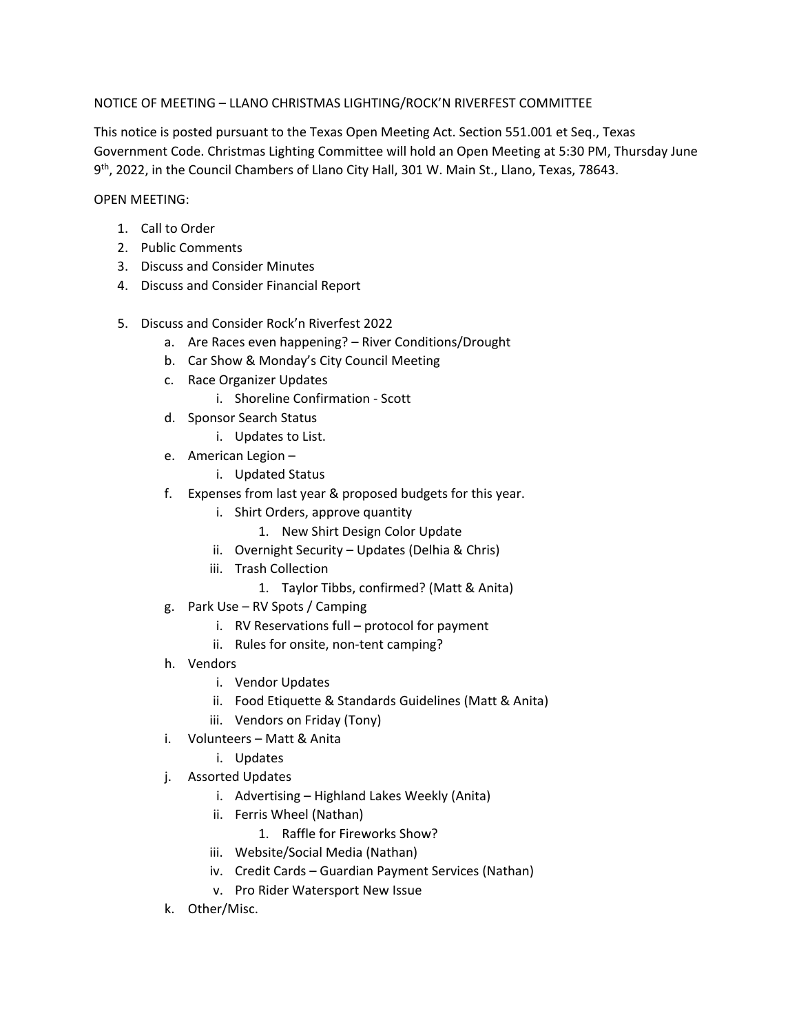## NOTICE OF MEETING – LLANO CHRISTMAS LIGHTING/ROCK'N RIVERFEST COMMITTEE

This notice is posted pursuant to the Texas Open Meeting Act. Section 551.001 et Seq., Texas Government Code. Christmas Lighting Committee will hold an Open Meeting at 5:30 PM, Thursday June 9th, 2022, in the Council Chambers of Llano City Hall, 301 W. Main St., Llano, Texas, 78643.

## OPEN MEETING:

- 1. Call to Order
- 2. Public Comments
- 3. Discuss and Consider Minutes
- 4. Discuss and Consider Financial Report
- 5. Discuss and Consider Rock'n Riverfest 2022
	- a. Are Races even happening? River Conditions/Drought
	- b. Car Show & Monday's City Council Meeting
	- c. Race Organizer Updates
		- i. Shoreline Confirmation Scott
	- d. Sponsor Search Status
		- i. Updates to List.
	- e. American Legion
		- i. Updated Status
	- f. Expenses from last year & proposed budgets for this year.
		- i. Shirt Orders, approve quantity
			- 1. New Shirt Design Color Update
		- ii. Overnight Security Updates (Delhia & Chris)
		- iii. Trash Collection
			- 1. Taylor Tibbs, confirmed? (Matt & Anita)
	- g. Park Use RV Spots / Camping
		- i. RV Reservations full protocol for payment
		- ii. Rules for onsite, non-tent camping?
	- h. Vendors
		- i. Vendor Updates
		- ii. Food Etiquette & Standards Guidelines (Matt & Anita)
		- iii. Vendors on Friday (Tony)
	- i. Volunteers Matt & Anita
		- i. Updates
	- j. Assorted Updates
		- i. Advertising Highland Lakes Weekly (Anita)
		- ii. Ferris Wheel (Nathan)
			- 1. Raffle for Fireworks Show?
		- iii. Website/Social Media (Nathan)
		- iv. Credit Cards Guardian Payment Services (Nathan)
		- v. Pro Rider Watersport New Issue
	- k. Other/Misc.